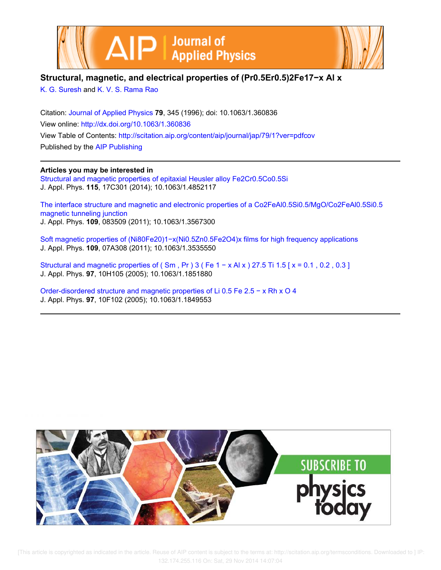



# **Structural, magnetic, and electrical properties of (Pr0.5Er0.5)2Fe17−x Al x**

K. G. Suresh and K. V. S. Rama Rao

Citation: Journal of Applied Physics **79**, 345 (1996); doi: 10.1063/1.360836 View online: http://dx.doi.org/10.1063/1.360836 View Table of Contents: http://scitation.aip.org/content/aip/journal/jap/79/1?ver=pdfcov Published by the AIP Publishing

**Articles you may be interested in**

Structural and magnetic properties of epitaxial Heusler alloy Fe2Cr0.5Co0.5Si J. Appl. Phys. **115**, 17C301 (2014); 10.1063/1.4852117

The interface structure and magnetic and electronic properties of a Co2FeAl0.5Si0.5/MgO/Co2FeAl0.5Si0.5 magnetic tunneling junction J. Appl. Phys. **109**, 083509 (2011); 10.1063/1.3567300

Soft magnetic properties of (Ni80Fe20)1−x(Ni0.5Zn0.5Fe2O4)x films for high frequency applications J. Appl. Phys. **109**, 07A308 (2011); 10.1063/1.3535550

Structural and magnetic properties of ( Sm , Pr ) 3 ( Fe 1 − x Al x ) 27.5 Ti 1.5 [ x = 0.1 , 0.2 , 0.3 ] J. Appl. Phys. **97**, 10H105 (2005); 10.1063/1.1851880

Order-disordered structure and magnetic properties of Li 0.5 Fe 2.5 − x Rh x O 4 J. Appl. Phys. **97**, 10F102 (2005); 10.1063/1.1849553

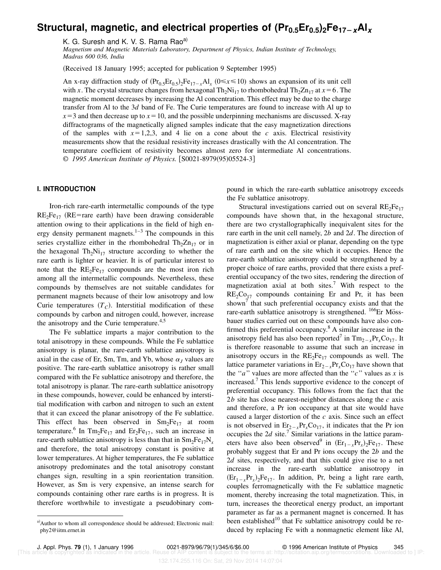# **Structural, magnetic, and electrical properties of (Pr0.5Er0.5)2Fe17**2**xAl<sup>x</sup>**

K. G. Suresh and K. V. S. Rama Rao<sup>a)</sup>

*Magnetism and Magnetic Materials Laboratory, Department of Physics, Indian Institute of Technology, Madras 600 036, India*

(Received 18 January 1995; accepted for publication 9 September 1995)

An x-ray diffraction study of  $(Pr_{0.5}Er_{0.5})_2Fe_{17-x}Al_x$  ( $0 \le x \le 10$ ) shows an expansion of its unit cell with *x*. The crystal structure changes from hexagonal  $Th_2Ni_{17}$  to rhombohedral  $Th_2Zn_{17}$  at  $x=6$ . The magnetic moment decreases by increasing the Al concentration. This effect may be due to the charge transfer from Al to the 3*d* band of Fe. The Curie temperatures are found to increase with Al up to  $x=3$  and then decrease up to  $x=10$ , and the possible underpinning mechanisms are discussed. X-ray diffractograms of the magnetically aligned samples indicate that the easy magnetization directions of the samples with  $x=1,2,3$ , and 4 lie on a cone about the *c* axis. Electrical resistivity measurements show that the residual resistivity increases drastically with the Al concentration. The temperature coefficient of resistivity becomes almost zero for intermediate Al concentrations. © 1995 American Institute of Physics. [S0021-8979(95)05524-3]

### **I. INTRODUCTION**

Iron-rich rare-earth intermetallic compounds of the type  $RE_2Fe_{17}$  (RE=rare earth) have been drawing considerable attention owing to their applications in the field of high energy density permanent magnets. $1-3$  The compounds in this series crystallize either in the rhombohedral  $Th_2Zn_{17}$  or in the hexagonal  $Th_2Ni_{17}$  structure according to whether the rare earth is lighter or heavier. It is of particular interest to note that the  $RE_2Fe_{17}$  compounds are the most iron rich among all the intermetallic compounds. Nevertheless, these compounds by themselves are not suitable candidates for permanent magnets because of their low anisotropy and low Curie temperatures  $(T_C)$ . Interstitial modification of these compounds by carbon and nitrogen could, however, increase the anisotropy and the Curie temperature. $4,5$ 

The Fe sublattice imparts a major contribution to the total anisotropy in these compounds. While the Fe sublattice anisotropy is planar, the rare-earth sublattice anisotropy is axial in the case of Er, Sm, Tm, and Yb, whose  $\alpha_j$  values are positive. The rare-earth sublattice anisotropy is rather small compared with the Fe sublattice anisotropy and therefore, the total anisotropy is planar. The rare-earth sublattice anisotropy in these compounds, however, could be enhanced by interstitial modification with carbon and nitrogen to such an extent that it can exceed the planar anisotropy of the Fe sublattice. This effect has been observed in  $Sm<sub>2</sub>Fe<sub>17</sub>$  at room temperature.<sup>6</sup> In Tm<sub>2</sub>Fe<sub>17</sub> and Er<sub>2</sub>Fe<sub>17</sub>, such an increase in rare-earth sublattice anisotropy is less than that in  $Sm<sub>2</sub>Fe<sub>17</sub>N<sub>x</sub>$ and therefore, the total anisotropy constant is positive at lower temperatures. At higher temperatures, the Fe sublattice anisotropy predominates and the total anisotropy constant changes sign, resulting in a spin reorientation transition. However, as Sm is very expensive, an intense search for compounds containing other rare earths is in progress. It is therefore worthwhile to investigate a pseudobinary compound in which the rare-earth sublattice anisotropy exceeds the Fe sublattice anisotropy.

Structural investigations carried out on several  $RE_2Fe_{17}$ compounds have shown that, in the hexagonal structure, there are two crystallographically inequivalent sites for the rare earth in the unit cell namely, 2*b* and 2*d*. The direction of magnetization is either axial or planar, depending on the type of rare earth and on the site which it occupies. Hence the rare-earth sublattice anisotropy could be strengthened by a proper choice of rare earths, provided that there exists a preferential occupancy of the two sites, rendering the direction of magnetization axial at both sites.<sup>7</sup> With respect to the  $RE<sub>2</sub>Co<sub>17</sub>$  compounds containing Er and Pr, it has been shown<sup>7</sup> that such preferential occupancy exists and that the rare-earth sublattice anisotropy is strengthened.  $166E$ F M $\ddot{\text{O}}$ SSbauer studies carried out on these compounds have also confirmed this preferential occupancy.<sup>8</sup> A similar increase in the anisotropy field has also been reported<sup>7</sup> in  $\text{Tm}_{2-x}\text{Pr}_x\text{Co}_{17}$ . It is therefore reasonable to assume that such an increase in anisotropy occurs in the  $RE_2Fe_{17}$  compounds as well. The lattice parameter variations in  $E_{r_2-x}Pr_xCo_{17}$  have shown that the "*a*" values are more affected than the "*c*" values as *x* is increased.<sup>7</sup> This lends supportive evidence to the concept of preferential occupancy. This follows from the fact that the 2*b* site has close nearest-neighbor distances along the *c* axis and therefore, a Pr ion occupancy at that site would have caused a larger distortion of the *c* axis. Since such an effect is not observed in  $Er_{2-x}Pr_{x}Co_{17}$ , it indicates that the Pr ion occupies the  $2d$  site.<sup>7</sup> Similar variations in the lattice parameters have also been observed<sup>9</sup> in  $(Er_{1-x}Pr_{x})_2Fe_{17}$ . These probably suggest that Er and Pr ions occupy the 2*b* and the 2*d* sites, respectively, and that this could give rise to a net increase in the rare-earth sublattice anisotropy in  $(Er_{1-x}Pr_{x})_2Fe_{17}$ . In addition, Pr, being a light rare earth, couples ferromagnetically with the Fe sublattice magnetic moment, thereby increasing the total magnetization. This, in turn, increases the theoretical energy product, an important parameter as far as a permanent magnet is concerned. It has been established $10$  that Fe sublattice anisotropy could be reduced by replacing Fe with a nonmagnetic element like Al,

a) Author to whom all correspondence should be addressed; Electronic mail: phy2@iitm.ernet.in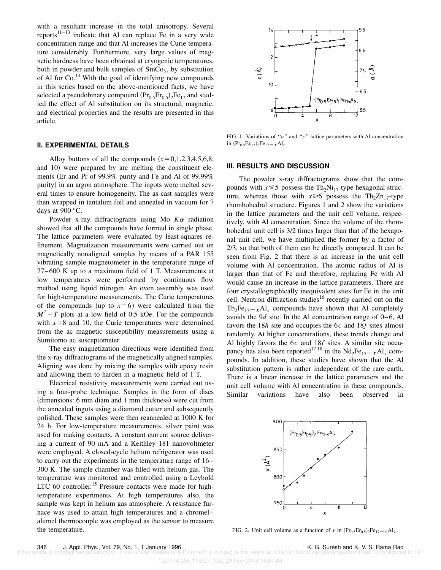with a resultant increase in the total anisotropy. Several reports $11-13$  indicate that Al can replace Fe in a very wide concentration range and that Al increases the Curie temperature considerably. Furthermore, very large values of magnetic hardness have been obtained at cryogenic temperatures, both in powder and bulk samples of  $SmCo<sub>5</sub>$ , by substitution of Al for  $Co<sup>14</sup>$  With the goal of identifying new compounds in this series based on the above-mentioned facts, we have selected a pseudobinary compound  $(\Pr_0, \Pr_0, \frac{1}{2}F_{17})$  and studied the effect of Al substitution on its structural, magnetic, and electrical properties and the results are presented in this article.

#### **II. EXPERIMENTAL DETAILS**

Alloy buttons of all the compounds  $(x=0,1,2,3,4,5,6,8,$ and 10) were prepared by arc melting the constituent elements (Er and Pr of 99.9% purity and Fe and Al of 99.99%) purity) in an argon atmosphere. The ingots were melted several times to ensure homogeneity. The as-cast samples were then wrapped in tantalum foil and annealed in vacuum for 7 days at 900 °C.

Powder x-ray diffractograms using Mo  $K\alpha$  radiation showed that all the compounds have formed in single phase. The lattice parameters were evaluated by least-squares refinement. Magnetization measurements were carried out on magnetically nonaligned samples by means of a PAR 155 vibrating sample magnetometer in the temperature range of 77–600 K up to a maximum field of 1 T. Measurements at low temperatures were performed by continuous flow method using liquid nitrogen. An oven assembly was used for high-temperature measurements. The Curie temperatures of the compounds (up to  $x=6$ ) were calculated from the  $M^2 - T$  plots at a low field of 0.5 kOe. For the compounds with  $x=8$  and 10, the Curie temperatures were determined from the ac magnetic susceptibility measurements using a Sumitomo ac susceptometer.

The easy magnetization directions were identified from the x-ray diffractograms of the magnetically aligned samples. Aligning was done by mixing the samples with epoxy resin and allowing them to harden in a magnetic field of 1 T.

Electrical resistivity measurements were carried out using a four-probe technique. Samples in the form of discs (dimensions: 6 mm diam and 1 mm thickness) were cut from the annealed ingots using a diamond cutter and subsequently polished. These samples were then reannealed at 1000 K for 24 h. For low-temperature measurements, silver paint was used for making contacts. A constant current source delivering a current of 90 mA and a Keithley 181 nanovoltmeter were employed. A closed-cycle helium refrigerator was used to carry out the experiments in the temperature range of 16– 300 K. The sample chamber was filled with helium gas. The temperature was monitored and controlled using a Leybold  $LTC$  60 controller.<sup>15</sup> Pressure contacts were made for hightemperature experiments. At high temperatures also, the sample was kept in helium gas atmosphere. A resistance furnace was used to attain high temperatures and a chromel– alumel thermocouple was employed as the sensor to measure the temperature.



FIG. 1. Variations of ''*a*'' and ''*c*'' lattice parameters with Al concentration in  $(Pr_{0.5}Er_{0.5})_2Fe_{17}-xAl_x$ .

## **III. RESULTS AND DISCUSSION**

The powder x-ray diffractograms show that the compounds with  $x \le 5$  possess the Th<sub>2</sub>Ni<sub>17</sub>-type hexagonal structure, whereas those with  $x \ge 6$  possess the Th<sub>2</sub>Zn<sub>17</sub>-type rhombohedral structure. Figures 1 and 2 show the variations in the lattice parameters and the unit cell volume, respectively, with Al concentration. Since the volume of the rhombohedral unit cell is 3/2 times larger than that of the hexagonal unit cell, we have multiplied the former by a factor of 2/3, so that both of them can be directly compared. It can be seen from Fig. 2 that there is an increase in the unit cell volume with Al concentration. The atomic radius of Al is larger than that of Fe and therefore, replacing Fe with Al would cause an increase in the lattice parameters. There are four crystallographically inequivalent sites for Fe in the unit cell. Neutron diffraction studies<sup>16</sup> recently carried out on the  $Tb_2Fe_{17}-xAl_x$  compounds have shown that Al completely avoids the 9*d* site. In the Al concentration range of 0–6, Al favors the 18*h* site and occupies the 6*c* and 18*f* sites almost randomly. At higher concentrations, these trends change and Al highly favors the 6*c* and 18*f* sites. A similar site occupancy has also been reported<sup>17,18</sup> in the  $Nd_2Fe_{17-x}Al_x$  compounds. In addition, these studies have shown that the Al substitution pattern is rather independent of the rare earth. There is a linear increase in the lattice parameters and the unit cell volume with Al concentration in these compounds. Similar variations have also been observed in



FIG. 2. Unit cell volume as a function of *x* in  $(Pr_{0.5}Er_{0.5})_2Fe_{17}-*x*Al<sub>x</sub>$ .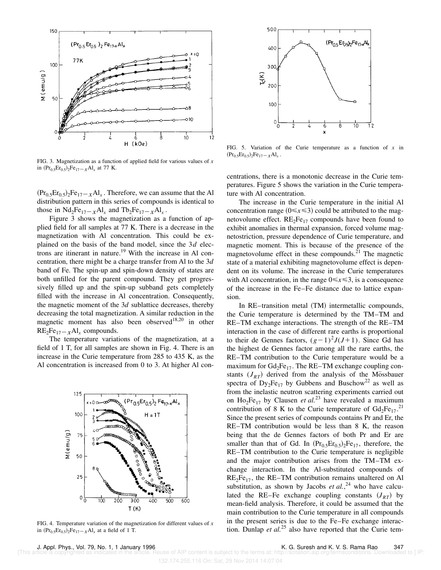

FIG. 3. Magnetization as a function of applied field for various values of *x* in  $(Pr_{0.5}Er_{0.5})_2Fe_{17-x}Al_x$  at 77 K.

 $({\rm Pr}_{0.5}{\rm Er}_{0.5})_2{\rm Fe}_{17-x}{\rm Al}_x$ . Therefore, we can assume that the Al distribution pattern in this series of compounds is identical to those in  $Nd_2Fe_{17-x}Al_x$  and  $Tb_2Fe_{17-x}Al_x$ .

Figure 3 shows the magnetization as a function of applied field for all samples at 77 K. There is a decrease in the magnetization with Al concentration. This could be explained on the basis of the band model, since the 3*d* electrons are itinerant in nature.<sup>19</sup> With the increase in Al concentration, there might be a charge transfer from Al to the 3*d* band of Fe. The spin-up and spin-down density of states are both unfilled for the parent compound. They get progressively filled up and the spin-up subband gets completely filled with the increase in Al concentration. Consequently, the magnetic moment of the 3*d* sublattice decreases, thereby decreasing the total magnetization. A similar reduction in the magnetic moment has also been observed<sup>18,20</sup> in other  $RE_2Fe_{17-x}Al_x$  compounds.

The temperature variations of the magnetization, at a field of 1 T, for all samples are shown in Fig. 4. There is an increase in the Curie temperature from 285 to 435 K, as the Al concentration is increased from 0 to 3. At higher Al con-



FIG. 4. Temperature variation of the magnetization for different values of *x* in  $(Pr_{0.5}Er_{0.5})_2Fe_{17-x}Al_x$  at a field of 1 T.



FIG. 5. Variation of the Curie temperature as a function of *x* in  $(Pr_{0.5}Er_{0.5})_2Fe_{17}-xAl_x$ .

centrations, there is a monotonic decrease in the Curie temperatures. Figure 5 shows the variation in the Curie temperature with Al concentration.

The increase in the Curie temperature in the initial Al concentration range  $(0 \le x \le 3)$  could be attributed to the magnetovolume effect.  $RE_2Fe_{17}$  compounds have been found to exhibit anomalies in thermal expansion, forced volume magnetostriction, pressure dependence of Curie temperature, and magnetic moment. This is because of the presence of the magnetovolume effect in these compounds. $^{21}$  The magnetic state of a material exhibiting magnetovolume effect is dependent on its volume. The increase in the Curie temperatures with Al concentration, in the range  $0 \le x \le 3$ , is a consequence of the increase in the Fe–Fe distance due to lattice expansion.

In  $RE$ –transition metal  $(TM)$  intermetallic compounds, the Curie temperature is determined by the TM–TM and RE–TM exchange interactions. The strength of the RE–TM interaction in the case of different rare earths is proportional to their de Gennes factors,  $(g-1)^2 J(J+1)$ . Since Gd has the highest de Gennes factor among all the rare earths, the RE–TM contribution to the Curie temperature would be a maximum for  $Gd_2Fe_{17}$ . The RE–TM exchange coupling constants  $(J_{RT})$  derived from the analysis of the Mössbauer spectra of  $Dy_2Fe_{17}$  by Gubbens and Buschow<sup>22</sup> as well as from the inelastic neutron scattering experiments carried out on  $Ho_2Fe_{17}$  by Clausen *et al.*<sup>23</sup> have revealed a maximum contribution of 8 K to the Curie temperature of  $Gd_2Fe_{17}$ .<sup>21</sup> Since the present series of compounds contains Pr and Er, the RE–TM contribution would be less than 8 K, the reason being that the de Gennes factors of both Pr and Er are smaller than that of Gd. In  $(Pr_0, Er_0,5)$ <sub>2</sub>Fe<sub>17</sub>, therefore, the RE–TM contribution to the Curie temperature is negligible and the major contribution arises from the TM–TM exchange interaction. In the Al-substituted compounds of  $RE_2Fe_{17}$ , the RE–TM contribution remains unaltered on Al substitution, as shown by Jacobs  $et al.<sup>24</sup>$  who have calculated the RE–Fe exchange coupling constants  $(J_{RT})$  by mean-field analysis. Therefore, it could be assumed that the main contribution to the Curie temperature in all compounds in the present series is due to the Fe–Fe exchange interaction. Dunlap *et al.*<sup>25</sup> also have reported that the Curie tem-

132.174.255.116 On: Sat, 29 Nov 2014 14:07:04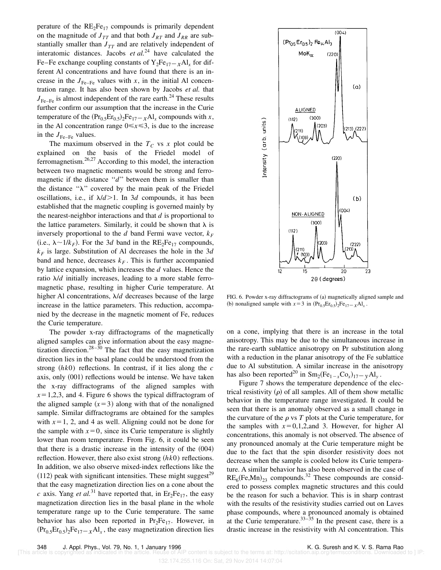perature of the  $RE_2Fe_{17}$  compounds is primarily dependent on the magnitude of  $J_{TT}$  and that both  $J_{RT}$  and  $J_{RR}$  are substantially smaller than  $J_{TT}$  and are relatively independent of interatomic distances. Jacobs  $et al.<sup>24</sup>$  have calculated the Fe–Fe exchange coupling constants of  $Y_2Fe_{17-x}Al_x$  for different Al concentrations and have found that there is an increase in the  $J_{\text{Fe-Fe}}$  values with *x*, in the initial Al concentration range. It has also been shown by Jacobs *et al.* that  $J_{\text{Fe-Fe}}$  is almost independent of the rare earth.<sup>24</sup> These results further confirm our assumption that the increase in the Curie temperature of the  $(Pr_{0.5}Er_{0.5})_2Fe_{17-x}Al_x$  compounds with *x*, in the Al concentration range  $0 \le x \le 3$ , is due to the increase in the  $J_{\text{Fe-Fe}}$  values.

The maximum observed in the  $T_c$  vs  $x$  plot could be explained on the basis of the Friedel model of ferromagnetism.26,27 According to this model, the interaction between two magnetic moments would be strong and ferromagnetic if the distance "*d*" between them is smaller than the distance " $\lambda$ " covered by the main peak of the Friedel oscillations, i.e., if  $\lambda/d > 1$ . In 3*d* compounds, it has been established that the magnetic coupling is governed mainly by the nearest-neighbor interactions and that *d* is proportional to the lattice parameters. Similarly, it could be shown that  $\lambda$  is inversely proportional to the *d* band Fermi wave vector,  $k_F$ (i.e.,  $\lambda \sim 1/k_F$ ). For the 3*d* band in the RE<sub>2</sub>Fe<sub>17</sub> compounds,  $k_F$  is large. Substitution of Al decreases the hole in the 3*d* band and hence, decreases  $k_F$ . This is further accompanied by lattice expansion, which increases the *d* values. Hence the ratio  $\lambda/d$  initially increases, leading to a more stable ferromagnetic phase, resulting in higher Curie temperature. At higher Al concentrations,  $\lambda/d$  decreases because of the large increase in the lattice parameters. This reduction, accompanied by the decrease in the magnetic moment of Fe, reduces the Curie temperature.

The powder x-ray diffractograms of the magnetically aligned samples can give information about the easy magnetization direction.<sup>28–30</sup> The fact that the easy magnetization direction lies in the basal plane could be understood from the strong  $(hk0)$  reflections. In contrast, if it lies along the  $c$ axis, only  $(001)$  reflections would be intense. We have taken the x-ray diffractograms of the aligned samples with  $x=1,2,3$ , and 4. Figure 6 shows the typical diffractogram of the aligned sample  $(x=3)$  along with that of the nonaligned sample. Similar diffractograms are obtained for the samples with  $x=1$ , 2, and 4 as well. Aligning could not be done for the sample with  $x=0$ , since its Curie temperature is slightly lower than room temperature. From Fig. 6, it could be seen that there is a drastic increase in the intensity of the  $(004)$ reflection. However, there also exist strong  $(hk0)$  reflections. In addition, we also observe mixed-index reflections like the  $(112)$  peak with significant intensities. These might suggest<sup>29</sup> that the easy magnetization direction lies on a cone about the *c* axis. Yang *et al.*<sup>31</sup> have reported that, in Er<sub>2</sub>Fe<sub>17</sub>, the easy magnetization direction lies in the basal plane in the whole temperature range up to the Curie temperature. The same behavior has also been reported in  $Pr_2Fe_{17}$ . However, in  $({\rm Pr}_{0.5}{\rm Er}_{0.5})_2{\rm Fe}_{17-x}{\rm Al}_x$ , the easy magnetization direction lies



FIG. 6. Powder x-ray diffractograms of (a) magnetically aligned sample and (b) nonaligned sample with  $x=3$  in  $(Pr_{0.5}Er_{0.5})_2Fe_{17-x}Al_x$ .

on a cone, implying that there is an increase in the total anisotropy. This may be due to the simultaneous increase in the rare-earth sublattice anisotropy on Pr substitution along with a reduction in the planar anisotropy of the Fe sublattice due to Al substitution. A similar increase in the anisotropy has also been reported<sup>20</sup> in  $\text{Sm}_2(\text{Fe}_{1-x}\text{Co}_x)_{17} - y\text{Al}_y$ .

Figure 7 shows the temperature dependence of the electrical resistivity  $(\rho)$  of all samples. All of them show metallic behavior in the temperature range investigated. It could be seen that there is an anomaly observed as a small change in the curvature of the  $\rho$  vs *T* plots at the Curie temperature, for the samples with  $x=0,1,2,$ and 3. However, for higher Al concentrations, this anomaly is not observed. The absence of any pronounced anomaly at the Curie temperature might be due to the fact that the spin disorder resistivity does not decrease when the sample is cooled below its Curie temperature. A similar behavior has also been observed in the case of  $RE_6$ (Fe,Mn)<sub>23</sub> compounds.<sup>32</sup> These compounds are considered to possess complex magnetic structures and this could be the reason for such a behavior. This is in sharp contrast with the results of the resistivity studies carried out on Laves phase compounds, where a pronounced anomaly is obtained at the Curie temperature. $33-35$  In the present case, there is a drastic increase in the resistivity with Al concentration. This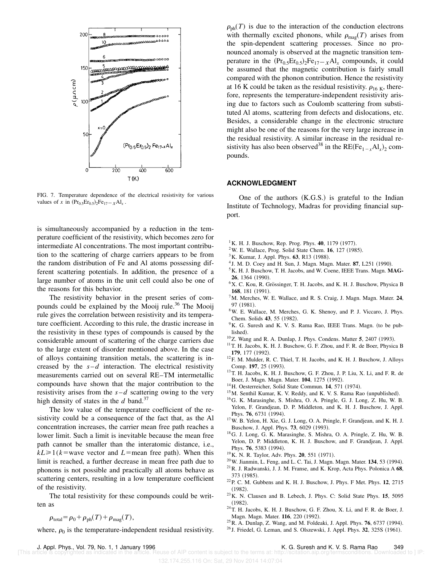

FIG. 7. Temperature dependence of the electrical resistivity for various values of *x* in  $(Pr_{0.5}Er_{0.5})_2Fe_{17-x}Al_x$ .

is simultaneously accompanied by a reduction in the temperature coefficient of the resistivity, which becomes zero for intermediate Al concentrations. The most important contribution to the scattering of charge carriers appears to be from the random distribution of Fe and Al atoms possessing different scattering potentials. In addition, the presence of a large number of atoms in the unit cell could also be one of the reasons for this behavior.

The resistivity behavior in the present series of compounds could be explained by the Mooij rule. $36$  The Mooij rule gives the correlation between resistivity and its temperature coefficient. According to this rule, the drastic increase in the resistivity in these types of compounds is caused by the considerable amount of scattering of the charge carriers due to the large extent of disorder mentioned above. In the case of alloys containing transition metals, the scattering is increased by the  $s-d$  interaction. The electrical resistivity measurements carried out on several RE–TM intermetallic compounds have shown that the major contribution to the resistivity arises from the  $s-d$  scattering owing to the very high density of states in the  $d$  band.<sup>37</sup>

The low value of the temperature coefficient of the resistivity could be a consequence of the fact that, as the Al concentration increases, the carrier mean free path reaches a lower limit. Such a limit is inevitable because the mean free path cannot be smaller than the interatomic distance, i.e.,  $kL \ge 1$  ( $k$ =wave vector and *L*=mean free path). When this limit is reached, a further decrease in mean free path due to phonons is not possible and practically all atoms behave as scattering centers, resulting in a low temperature coefficient of the resistivity.

The total resistivity for these compounds could be written as

$$
\rho_{\text{total}} = \rho_0 + \rho_{\text{ph}}(T) + \rho_{\text{mag}}(T),
$$

where,  $\rho_0$  is the temperature-independent residual resistivity.

 $\rho_{ph}(T)$  is due to the interaction of the conduction electrons with thermally excited phonons, while  $\rho_{mag}(T)$  arises from the spin-dependent scattering processes. Since no pronounced anomaly is observed at the magnetic transition temperature in the  $(Pr_{0.5}Er_{0.5})_2Fe_{17-x}Al_x$  compounds, it could be assumed that the magnetic contribution is fairly small compared with the phonon contribution. Hence the resistivity at 16 K could be taken as the residual resistivity.  $\rho_{16 K}$ , therefore, represents the temperature-independent resistivity arising due to factors such as Coulomb scattering from substituted Al atoms, scattering from defects and dislocations, etc. Besides, a considerable change in the electronic structure might also be one of the reasons for the very large increase in the residual resistivity. A similar increase in the residual resistivity has also been observed<sup>38</sup> in the  $RE(Fe_{1-x}Al_x)_2$  compounds.

#### **ACKNOWLEDGMENT**

One of the authors  $(K.G.S.)$  is grateful to the Indian Institute of Technology, Madras for providing financial support.

- $1$ K. H. J. Buschow, Rep. Prog. Phys. **40**, 1179 (1977).
- $2$ W. E. Wallace, Prog. Solid State Chem. **16**, 127 (1985).
- <sup>3</sup>K. Kumar, J. Appl. Phys. 63, R13 (1988).
- <sup>4</sup> J. M. D. Coey and H. Sun, J. Magn. Magn. Mater. 87, L251 (1990).
- <sup>5</sup>K. H. J. Buschow, T. H. Jacobs, and W. Coene, IEEE Trans. Magn. **MAG-26**, 1364 (1990).
- ${}^{6}$ X. C. Kou, R. Grössinger, T. H. Jacobs, and K. H. J. Buschow, Physica B **168.** 181 (1991).
- <sup>7</sup>M. Merches, W. E. Wallace, and R. S. Craig, J. Magn. Magn. Mater. **24**,  $97$   $(1981)$ .
- <sup>8</sup>W. E. Wallace, M. Merches, G. K. Shenoy, and P. J. Viccaro, J. Phys. Chem. Solids 43, 55 (1982).
- $9K$ . G. Suresh and K. V. S. Rama Rao, IEEE Trans. Magn. (to be published).
- <sup>10</sup>Z. Wang and R. A. Dunlap, J. Phys. Condens. Matter 5, 2407 (1993).
- <sup>11</sup> T. H. Jacobs, K. H. J. Buschow, G. F. Zhou, and F. R. de Boer, Physica B **179**, 177 (1992)
- <sup>12</sup>F. M. Mulder, R. C. Thiel, T. H. Jacobs, and K. H. J. Buschow, J. Alloys Comp. 197, 25 (1993).
- <sup>13</sup>T. H. Jacobs, K. H. J. Buschow, G. F. Zhou, J. P. Liu, X. Li, and F. R. de Boer, J. Magn. Magn. Mater. **104**, 1275 (1992).
- <sup>14</sup>H. Oesterreicher, Solid State Commun. **14**, 571 (1974).
- $15$ M. Senthil Kumar, K. V. Reddy, and K. V. S. Rama Rao (unpublished).
- <sup>16</sup>G. K. Marasinghe, S. Mishra, O. A. Pringle, G. J. Long, Z. Hu, W. B. Yelon, F. Grandjean, D. P. Middleton, and K. H. J. Buschow, J. Appl. Phys. 76, 6731 (1994).
- <sup>17</sup>W. B. Yelon, H. Xie, G. J. Long, O. A. Pringle, F. Grandjean, and K. H. J. Buschow, J. Appl. Phys. **73**, 6029 (1993).
- <sup>18</sup>G. J. Long, G. K. Marasinghe, S. Mishra, O. A. Pringle, Z. Hu, W. B. Yelon, D. P. Middleton, K. H. J. Buschow, and F. Grandjean, J. Appl. Phys. 76, 5383 (1994).
- <sup>19</sup>K. N. R. Taylor, Adv. Phys. **20**, 551 (1971).
- <sup>20</sup> W. Jianmin, L. Feng, and L. C. Tai, J. Magn. Magn. Mater. **134**, 53 (1994).
- <sup>21</sup>R. J. Radwanski, J. J. M. Franse, and K. Krop, Acta Phys. Polonica A **68**, 373 (1985).
- <sup>22</sup>P. C. M. Gubbens and K. H. J. Buschow, J. Phys. F Met. Phys. **12**, 2715  $(1982).$
- <sup>23</sup>K. N. Clausen and B. Lebech, J. Phys. C: Solid State Phys. **15**, 5095  $(1982).$
- $24$ T. H. Jacobs, K. H. J. Buschow, G. F. Zhou, X. Li, and F. R. de Boer, J. Magn. Magn. Mater. 116, 220 (1992).
- <sup>25</sup> R. A. Dunlap, Z. Wang, and M. Foldeaki, J. Appl. Phys. **76**, 6737 (1994).
- <sup>26</sup> J. Friedel, G. Leman, and S. Olszewski, J. Appl. Phys. **32**, 325S (1961).

J. Appl. Phys., Vol. 79, No. 1, 1 January 1996<br>The copyrighted as indicated in the article. Reuse of AIP content is subject to the terms at: http://scitation.aip.org/termsconditions. Downloaded to [IP]